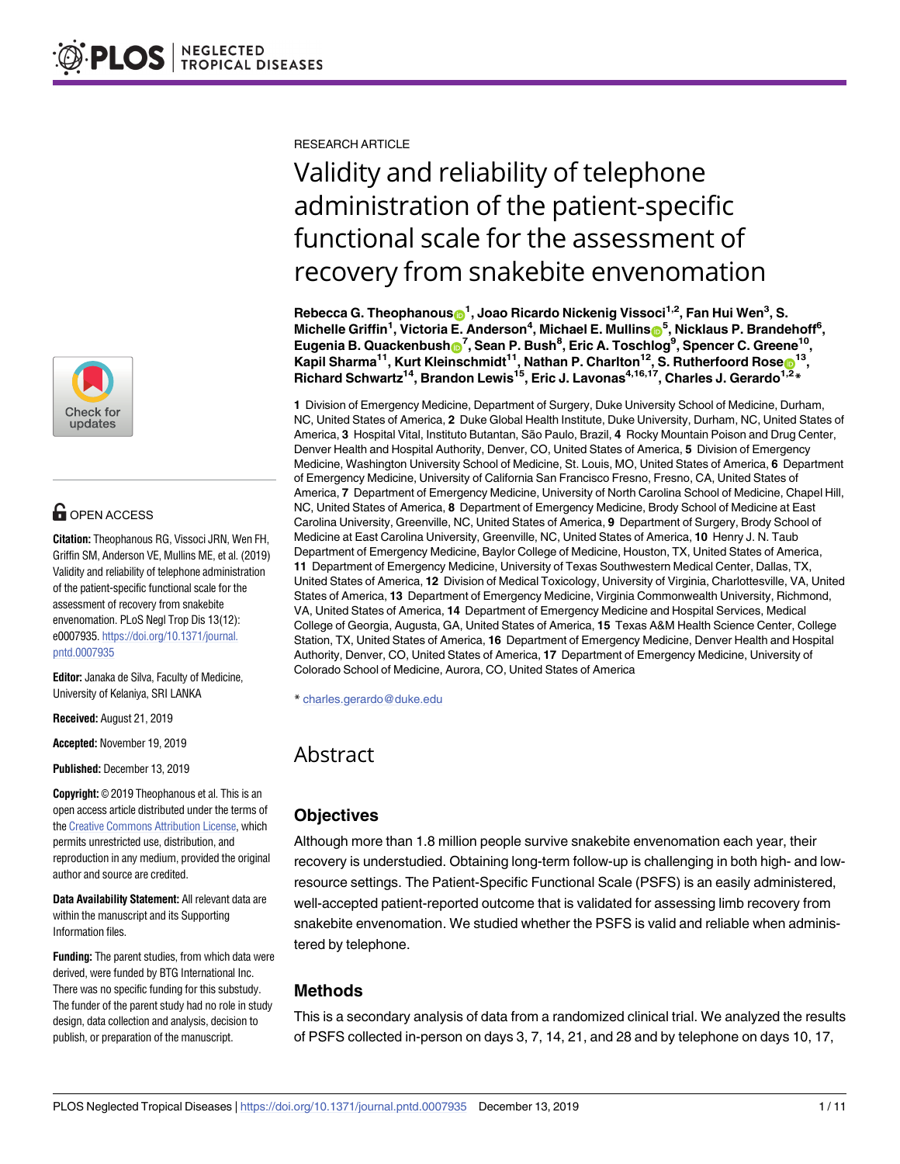

# **G** OPEN ACCESS

**Citation:** Theophanous RG, Vissoci JRN, Wen FH, Griffin SM, Anderson VE, Mullins ME, et al. (2019) Validity and reliability of telephone administration of the patient-specific functional scale for the assessment of recovery from snakebite envenomation. PLoS Negl Trop Dis 13(12): e0007935. [https://doi.org/10.1371/journal.](https://doi.org/10.1371/journal.pntd.0007935) [pntd.0007935](https://doi.org/10.1371/journal.pntd.0007935)

**Editor:** Janaka de Silva, Faculty of Medicine, University of Kelaniya, SRI LANKA

**Received:** August 21, 2019

**Accepted:** November 19, 2019

**Published:** December 13, 2019

**Copyright:** © 2019 Theophanous et al. This is an open access article distributed under the terms of the Creative [Commons](http://creativecommons.org/licenses/by/4.0/) Attribution License, which permits unrestricted use, distribution, and reproduction in any medium, provided the original author and source are credited.

**Data Availability Statement:** All relevant data are within the manuscript and its Supporting Information files.

**Funding:** The parent studies, from which data were derived, were funded by BTG International Inc. There was no specific funding for this substudy. The funder of the parent study had no role in study design, data collection and analysis, decision to publish, or preparation of the manuscript.

RESEARCH ARTICLE

# Validity and reliability of telephone administration of the patient-specific functional scale for the assessment of recovery from snakebite envenomation

 $R$ ebecca G. Theophanous $\mathbf{\Theta}^1$ , Joao Ricardo Nickenig Vissoci<sup>1,2</sup>, Fan Hui Wen $^3$ , S.  $\blacksquare$  **Michelle Griffin<sup>1</sup>, Victoria E. Anderson<sup>4</sup>, Michael E. Mullins** $\blacksquare$ **<sup>5</sup>, Nicklaus P. Brandehoff<sup>6</sup>,**  $\mathbf{E}$ ugenia B. Quackenbush $\mathbf{D}^7$ , Sean P. Bush $^8$ , Eric A. Toschlog $^9$ , Spencer C. Greene $^{10}$ , **Kapil Sharma<sup>11</sup>, Kurt Kleinschmidt<sup>11</sup>, Nathan P. Charlton<sup>12</sup>, S. Rutherfoord Rose<sup>13</sup>, Richard Schwartz14, Brandon Lewis15, Eric J. Lavonas4,16,17, Charles J. Gerardo1,2\***

**1** Division of Emergency Medicine, Department of Surgery, Duke University School of Medicine, Durham, NC, United States of America, **2** Duke Global Health Institute, Duke University, Durham, NC, United States of America, **3** Hospital Vital, Instituto Butantan, São Paulo, Brazil, **4** Rocky Mountain Poison and Drug Center, Denver Health and Hospital Authority, Denver, CO, United States of America, **5** Division of Emergency Medicine, Washington University School of Medicine, St. Louis, MO, United States of America, **6** Department of Emergency Medicine, University of California San Francisco Fresno, Fresno, CA, United States of America, **7** Department of Emergency Medicine, University of North Carolina School of Medicine, Chapel Hill, NC, United States of America, **8** Department of Emergency Medicine, Brody School of Medicine at East Carolina University, Greenville, NC, United States of America, **9** Department of Surgery, Brody School of Medicine at East Carolina University, Greenville, NC, United States of America, **10** Henry J. N. Taub Department of Emergency Medicine, Baylor College of Medicine, Houston, TX, United States of America, **11** Department of Emergency Medicine, University of Texas Southwestern Medical Center, Dallas, TX, United States of America, **12** Division of Medical Toxicology, University of Virginia, Charlottesville, VA, United States of America, **13** Department of Emergency Medicine, Virginia Commonwealth University, Richmond, VA, United States of America, **14** Department of Emergency Medicine and Hospital Services, Medical College of Georgia, Augusta, GA, United States of America, **15** Texas A&M Health Science Center, College Station, TX, United States of America, **16** Department of Emergency Medicine, Denver Health and Hospital Authority, Denver, CO, United States of America, **17** Department of Emergency Medicine, University of Colorado School of Medicine, Aurora, CO, United States of America

\* charles.gerardo@duke.edu

## Abstract

### **Objectives**

Although more than 1.8 million people survive snakebite envenomation each year, their recovery is understudied. Obtaining long-term follow-up is challenging in both high- and lowresource settings. The Patient-Specific Functional Scale (PSFS) is an easily administered, well-accepted patient-reported outcome that is validated for assessing limb recovery from snakebite envenomation. We studied whether the PSFS is valid and reliable when administered by telephone.

### **Methods**

This is a secondary analysis of data from a randomized clinical trial. We analyzed the results of PSFS collected in-person on days 3, 7, 14, 21, and 28 and by telephone on days 10, 17,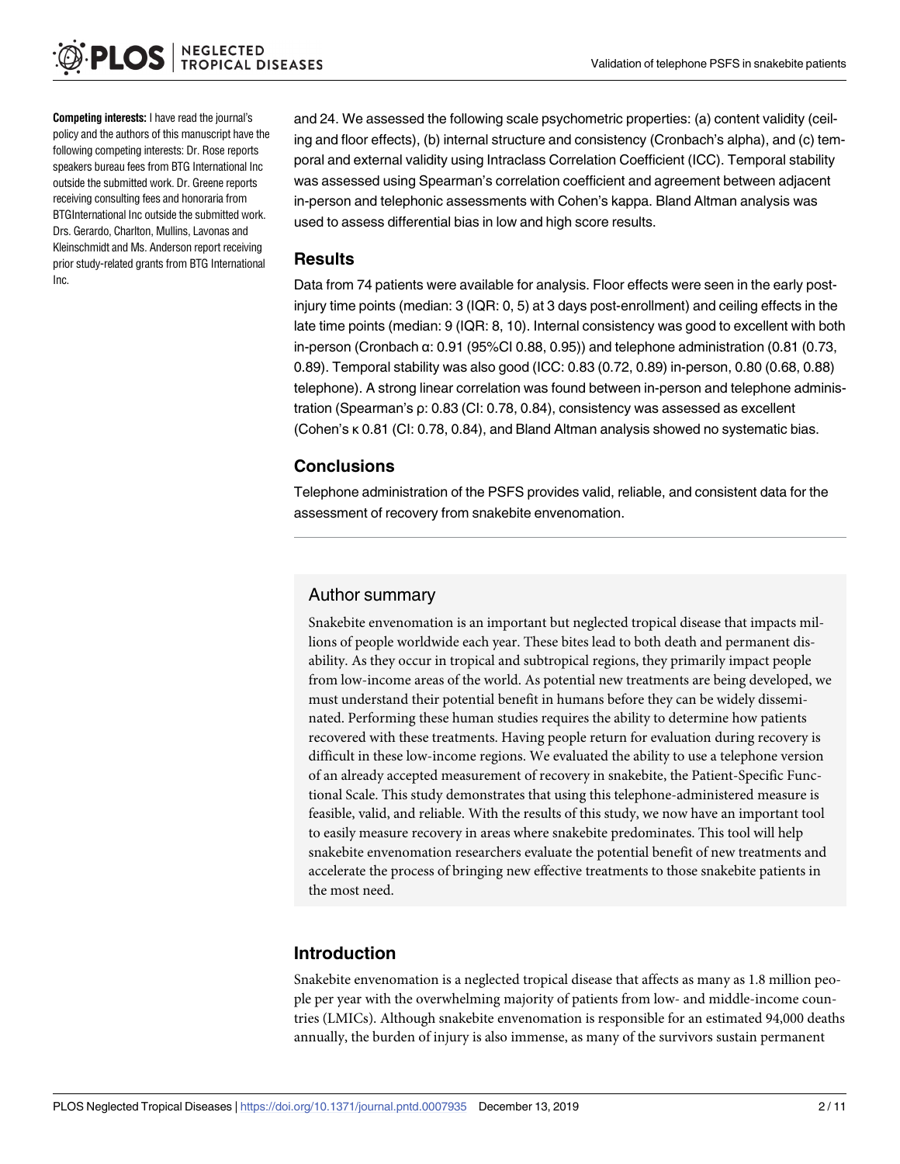**Competing interests:** I have read the journal's policy and the authors of this manuscript have the following competing interests: Dr. Rose reports speakers bureau fees from BTG International Inc outside the submitted work. Dr. Greene reports receiving consulting fees and honoraria from BTGInternational Inc outside the submitted work. Drs. Gerardo, Charlton, Mullins, Lavonas and Kleinschmidt and Ms. Anderson report receiving prior study-related grants from BTG International Inc.

and 24. We assessed the following scale psychometric properties: (a) content validity (ceiling and floor effects), (b) internal structure and consistency (Cronbach's alpha), and (c) temporal and external validity using Intraclass Correlation Coefficient (ICC). Temporal stability was assessed using Spearman's correlation coefficient and agreement between adjacent in-person and telephonic assessments with Cohen's kappa. Bland Altman analysis was used to assess differential bias in low and high score results.

#### **Results**

Data from 74 patients were available for analysis. Floor effects were seen in the early postinjury time points (median: 3 (IQR: 0, 5) at 3 days post-enrollment) and ceiling effects in the late time points (median: 9 (IQR: 8, 10). Internal consistency was good to excellent with both in-person (Cronbach α: 0.91 (95%CI 0.88, 0.95)) and telephone administration (0.81 (0.73, 0.89). Temporal stability was also good (ICC: 0.83 (0.72, 0.89) in-person, 0.80 (0.68, 0.88) telephone). A strong linear correlation was found between in-person and telephone administration (Spearman's ρ: 0.83 (CI: 0.78, 0.84), consistency was assessed as excellent (Cohen's κ 0.81 (CI: 0.78, 0.84), and Bland Altman analysis showed no systematic bias.

#### **Conclusions**

Telephone administration of the PSFS provides valid, reliable, and consistent data for the assessment of recovery from snakebite envenomation.

#### Author summary

Snakebite envenomation is an important but neglected tropical disease that impacts millions of people worldwide each year. These bites lead to both death and permanent disability. As they occur in tropical and subtropical regions, they primarily impact people from low-income areas of the world. As potential new treatments are being developed, we must understand their potential benefit in humans before they can be widely disseminated. Performing these human studies requires the ability to determine how patients recovered with these treatments. Having people return for evaluation during recovery is difficult in these low-income regions. We evaluated the ability to use a telephone version of an already accepted measurement of recovery in snakebite, the Patient-Specific Functional Scale. This study demonstrates that using this telephone-administered measure is feasible, valid, and reliable. With the results of this study, we now have an important tool to easily measure recovery in areas where snakebite predominates. This tool will help snakebite envenomation researchers evaluate the potential benefit of new treatments and accelerate the process of bringing new effective treatments to those snakebite patients in the most need.

#### **Introduction**

Snakebite envenomation is a neglected tropical disease that affects as many as 1.8 million people per year with the overwhelming majority of patients from low- and middle-income countries (LMICs). Although snakebite envenomation is responsible for an estimated 94,000 deaths annually, the burden of injury is also immense, as many of the survivors sustain permanent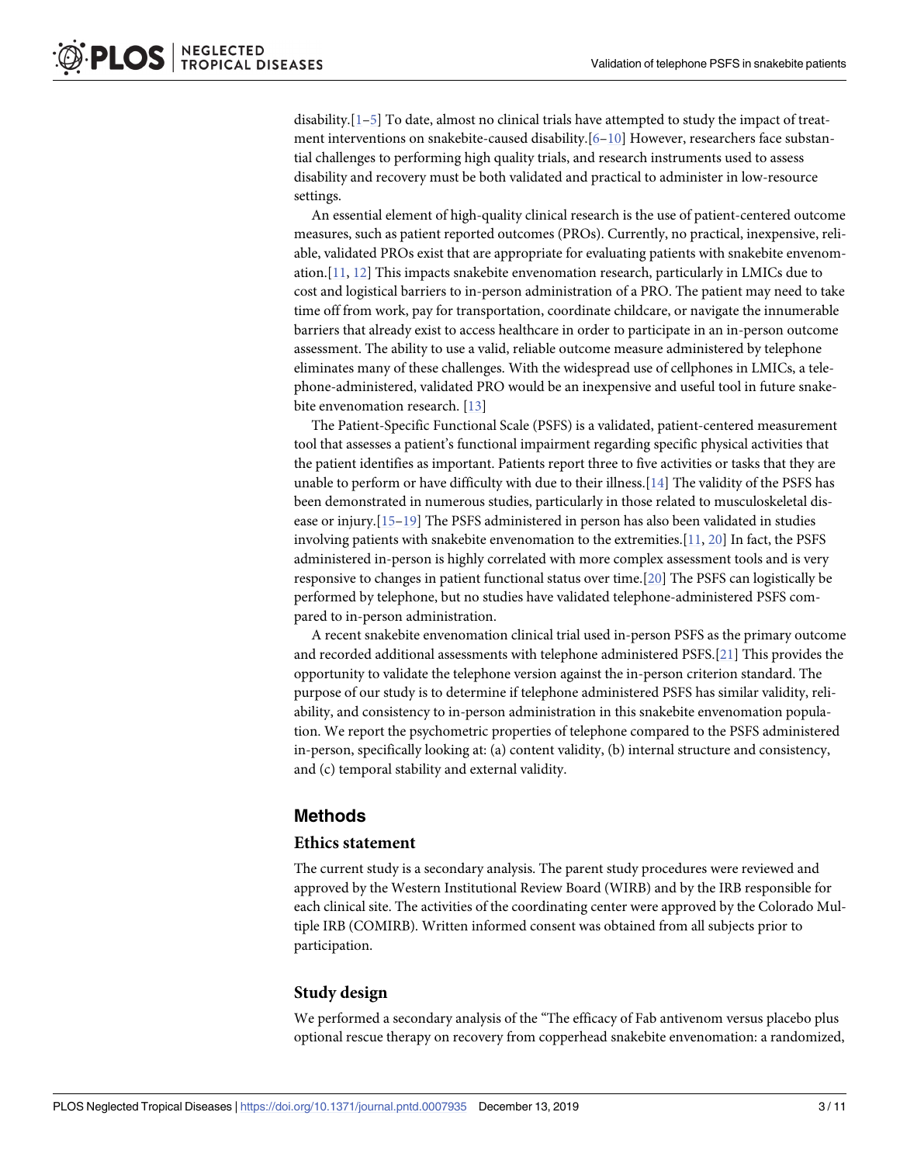<span id="page-2-0"></span>disability. $[1-5]$  To date, almost no clinical trials have attempted to study the impact of treatment interventions on snakebite-caused disability.[\[6–10\]](#page-8-0) However, researchers face substantial challenges to performing high quality trials, and research instruments used to assess disability and recovery must be both validated and practical to administer in low-resource settings.

An essential element of high-quality clinical research is the use of patient-centered outcome measures, such as patient reported outcomes (PROs). Currently, no practical, inexpensive, reliable, validated PROs exist that are appropriate for evaluating patients with snakebite envenomation.[\[11,](#page-8-0) [12\]](#page-8-0) This impacts snakebite envenomation research, particularly in LMICs due to cost and logistical barriers to in-person administration of a PRO. The patient may need to take time off from work, pay for transportation, coordinate childcare, or navigate the innumerable barriers that already exist to access healthcare in order to participate in an in-person outcome assessment. The ability to use a valid, reliable outcome measure administered by telephone eliminates many of these challenges. With the widespread use of cellphones in LMICs, a telephone-administered, validated PRO would be an inexpensive and useful tool in future snake-bite envenomation research. [\[13\]](#page-8-0)

The Patient-Specific Functional Scale (PSFS) is a validated, patient-centered measurement tool that assesses a patient's functional impairment regarding specific physical activities that the patient identifies as important. Patients report three to five activities or tasks that they are unable to perform or have difficulty with due to their illness.[[14](#page-9-0)] The validity of the PSFS has been demonstrated in numerous studies, particularly in those related to musculoskeletal disease or injury.[[15–19\]](#page-9-0) The PSFS administered in person has also been validated in studies involving patients with snakebite envenomation to the extremities.[[11,](#page-8-0) [20\]](#page-9-0) In fact, the PSFS administered in-person is highly correlated with more complex assessment tools and is very responsive to changes in patient functional status over time.[[20](#page-9-0)] The PSFS can logistically be performed by telephone, but no studies have validated telephone-administered PSFS compared to in-person administration.

A recent snakebite envenomation clinical trial used in-person PSFS as the primary outcome and recorded additional assessments with telephone administered PSFS.[\[21\]](#page-9-0) This provides the opportunity to validate the telephone version against the in-person criterion standard. The purpose of our study is to determine if telephone administered PSFS has similar validity, reliability, and consistency to in-person administration in this snakebite envenomation population. We report the psychometric properties of telephone compared to the PSFS administered in-person, specifically looking at: (a) content validity, (b) internal structure and consistency, and (c) temporal stability and external validity.

#### **Methods**

#### **Ethics statement**

The current study is a secondary analysis. The parent study procedures were reviewed and approved by the Western Institutional Review Board (WIRB) and by the IRB responsible for each clinical site. The activities of the coordinating center were approved by the Colorado Multiple IRB (COMIRB). Written informed consent was obtained from all subjects prior to participation.

#### **Study design**

We performed a secondary analysis of the "The efficacy of Fab antivenom versus placebo plus optional rescue therapy on recovery from copperhead snakebite envenomation: a randomized,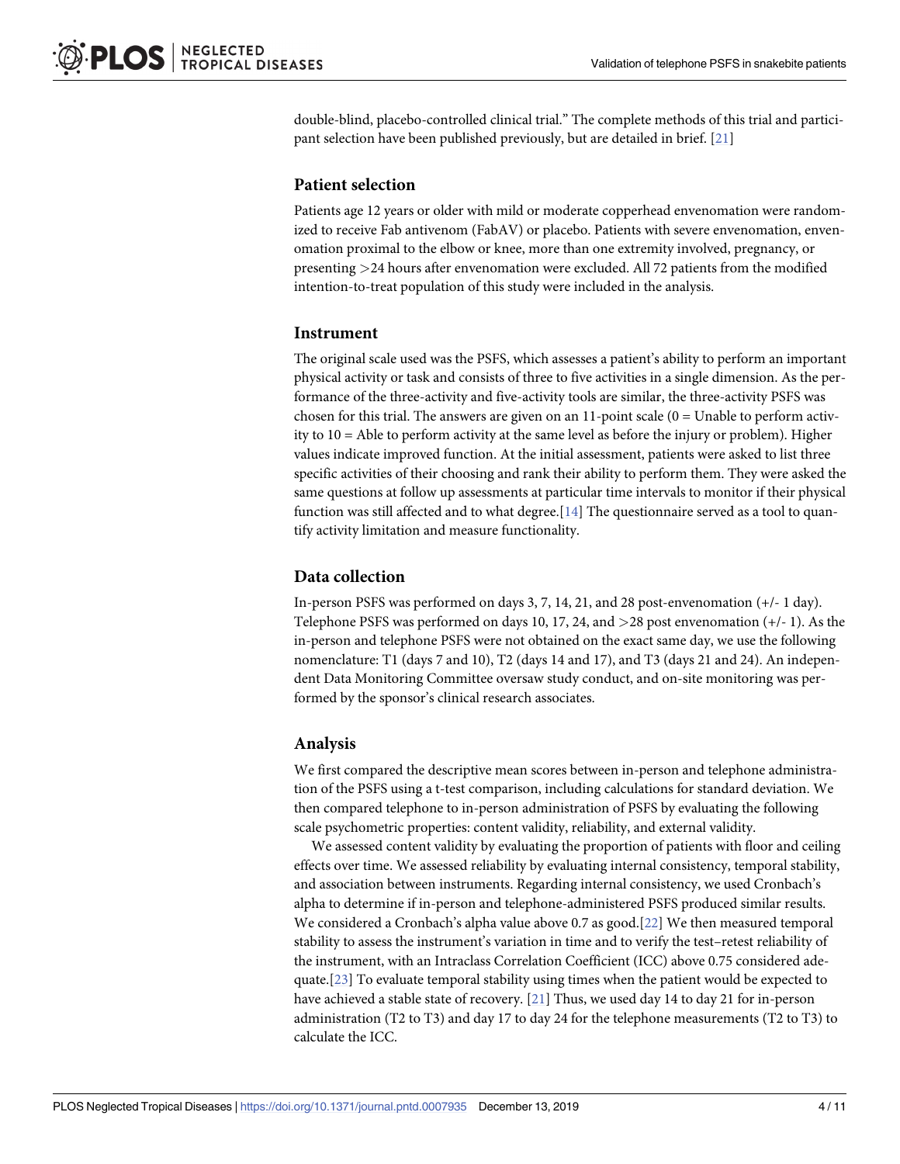<span id="page-3-0"></span>double-blind, placebo-controlled clinical trial." The complete methods of this trial and participant selection have been published previously, but are detailed in brief. [[21](#page-9-0)]

#### **Patient selection**

Patients age 12 years or older with mild or moderate copperhead envenomation were randomized to receive Fab antivenom (FabAV) or placebo. Patients with severe envenomation, envenomation proximal to the elbow or knee, more than one extremity involved, pregnancy, or presenting *>*24 hours after envenomation were excluded. All 72 patients from the modified intention-to-treat population of this study were included in the analysis.

#### **Instrument**

The original scale used was the PSFS, which assesses a patient's ability to perform an important physical activity or task and consists of three to five activities in a single dimension. As the performance of the three-activity and five-activity tools are similar, the three-activity PSFS was chosen for this trial. The answers are given on an  $11$ -point scale ( $0 =$  Unable to perform activity to 10 = Able to perform activity at the same level as before the injury or problem). Higher values indicate improved function. At the initial assessment, patients were asked to list three specific activities of their choosing and rank their ability to perform them. They were asked the same questions at follow up assessments at particular time intervals to monitor if their physical function was still affected and to what degree.[\[14\]](#page-9-0) The questionnaire served as a tool to quantify activity limitation and measure functionality.

#### **Data collection**

In-person PSFS was performed on days 3, 7, 14, 21, and 28 post-envenomation (+/- 1 day). Telephone PSFS was performed on days 10, 17, 24, and *>*28 post envenomation (+/- 1). As the in-person and telephone PSFS were not obtained on the exact same day, we use the following nomenclature: T1 (days 7 and 10), T2 (days 14 and 17), and T3 (days 21 and 24). An independent Data Monitoring Committee oversaw study conduct, and on-site monitoring was performed by the sponsor's clinical research associates.

#### **Analysis**

We first compared the descriptive mean scores between in-person and telephone administration of the PSFS using a t-test comparison, including calculations for standard deviation. We then compared telephone to in-person administration of PSFS by evaluating the following scale psychometric properties: content validity, reliability, and external validity.

We assessed content validity by evaluating the proportion of patients with floor and ceiling effects over time. We assessed reliability by evaluating internal consistency, temporal stability, and association between instruments. Regarding internal consistency, we used Cronbach's alpha to determine if in-person and telephone-administered PSFS produced similar results. We considered a Cronbach's alpha value above 0.7 as good.[[22](#page-9-0)] We then measured temporal stability to assess the instrument's variation in time and to verify the test–retest reliability of the instrument, with an Intraclass Correlation Coefficient (ICC) above 0.75 considered adequate.[[23](#page-9-0)] To evaluate temporal stability using times when the patient would be expected to have achieved a stable state of recovery. [[21](#page-9-0)] Thus, we used day 14 to day 21 for in-person administration (T2 to T3) and day 17 to day 24 for the telephone measurements (T2 to T3) to calculate the ICC.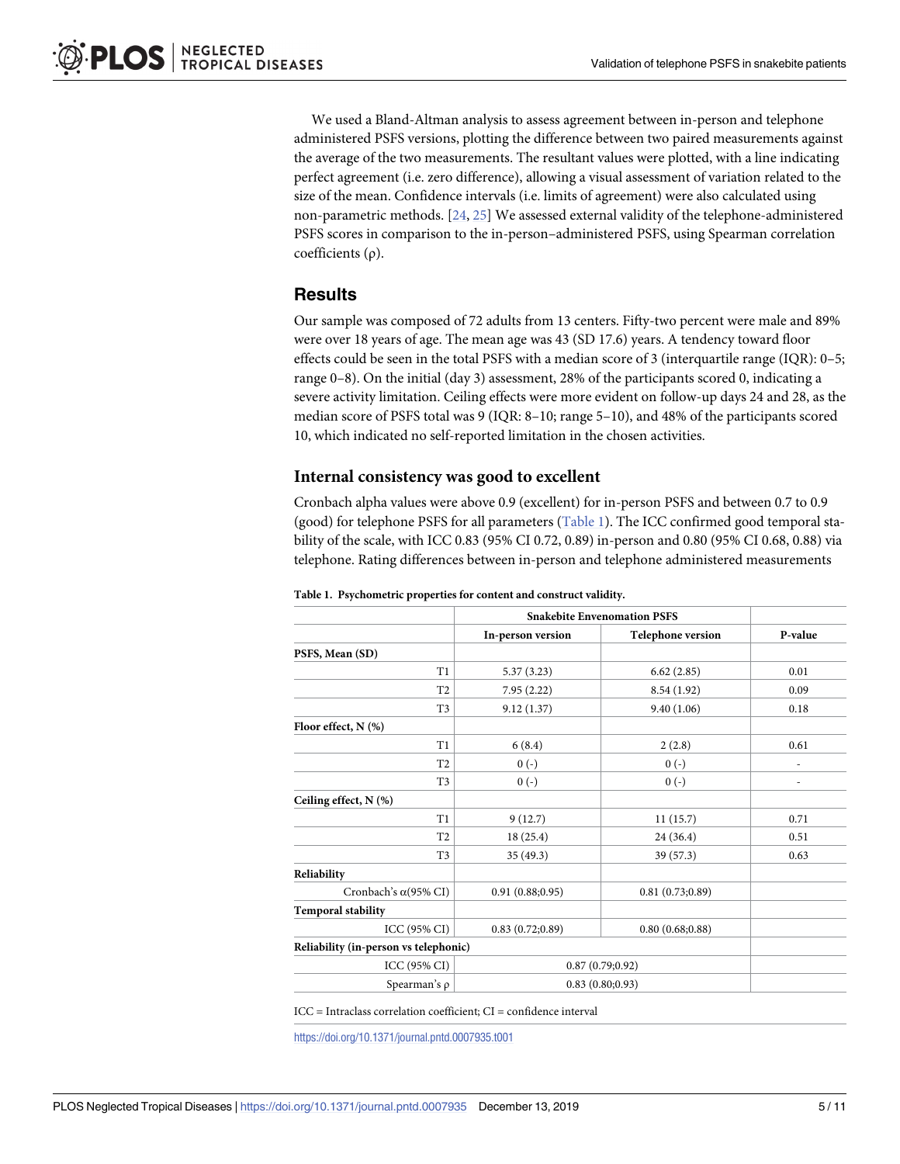<span id="page-4-0"></span>We used a Bland-Altman analysis to assess agreement between in-person and telephone administered PSFS versions, plotting the difference between two paired measurements against the average of the two measurements. The resultant values were plotted, with a line indicating perfect agreement (i.e. zero difference), allowing a visual assessment of variation related to the size of the mean. Confidence intervals (i.e. limits of agreement) were also calculated using non-parametric methods. [[24](#page-9-0), [25](#page-9-0)] We assessed external validity of the telephone-administered PSFS scores in comparison to the in-person–administered PSFS, using Spearman correlation coefficients (ρ).

#### **Results**

Our sample was composed of 72 adults from 13 centers. Fifty-two percent were male and 89% were over 18 years of age. The mean age was 43 (SD 17.6) years. A tendency toward floor effects could be seen in the total PSFS with a median score of 3 (interquartile range (IQR): 0–5; range 0–8). On the initial (day 3) assessment, 28% of the participants scored 0, indicating a severe activity limitation. Ceiling effects were more evident on follow-up days 24 and 28, as the median score of PSFS total was 9 (IQR: 8–10; range 5–10), and 48% of the participants scored 10, which indicated no self-reported limitation in the chosen activities.

#### **Internal consistency was good to excellent**

Cronbach alpha values were above 0.9 (excellent) for in-person PSFS and between 0.7 to 0.9 (good) for telephone PSFS for all parameters (Table 1). The ICC confirmed good temporal stability of the scale, with ICC 0.83 (95% CI 0.72, 0.89) in-person and 0.80 (95% CI 0.68, 0.88) via telephone. Rating differences between in-person and telephone administered measurements

|                                       | <b>Snakebite Envenomation PSFS</b> |                          |         |
|---------------------------------------|------------------------------------|--------------------------|---------|
|                                       | In-person version                  | <b>Telephone version</b> | P-value |
| PSFS, Mean (SD)                       |                                    |                          |         |
| T1                                    | 5.37(3.23)                         | 6.62(2.85)               | 0.01    |
| T <sub>2</sub>                        | 7.95(2.22)                         | 8.54(1.92)               | 0.09    |
| T <sub>3</sub>                        | 9.12(1.37)                         | 9.40(1.06)               | 0.18    |
| Floor effect, $N$ (%)                 |                                    |                          |         |
| T1                                    | 6(8.4)                             | 2(2.8)                   | 0.61    |
| T <sub>2</sub>                        | $0(-)$                             | $0(-)$                   |         |
| T <sub>3</sub>                        | $0(-)$                             | $0(-)$                   | ٠       |
| Ceiling effect, N (%)                 |                                    |                          |         |
| T1                                    | 9(12.7)                            | 11(15.7)                 | 0.71    |
| T <sub>2</sub>                        | 18(25.4)                           | 24 (36.4)                | 0.51    |
| T <sub>3</sub>                        | 35(49.3)                           | 39 (57.3)                | 0.63    |
| Reliability                           |                                    |                          |         |
| Cronbach's $\alpha$ (95% CI)          | 0.91(0.88;0.95)                    | 0.81(0.73;0.89)          |         |
| <b>Temporal stability</b>             |                                    |                          |         |
| ICC (95% CI)                          | 0.83(0.72;0.89)                    | 0.80(0.68;0.88)          |         |
| Reliability (in-person vs telephonic) |                                    |                          |         |
| ICC (95% CI)                          | 0.87(0.79;0.92)                    |                          |         |
| Spearman's $\rho$                     | 0.83(0.80;0.93)                    |                          |         |

#### **Table 1. Psychometric properties for content and construct validity.**

ICC = Intraclass correlation coefficient; CI = confidence interval

<https://doi.org/10.1371/journal.pntd.0007935.t001>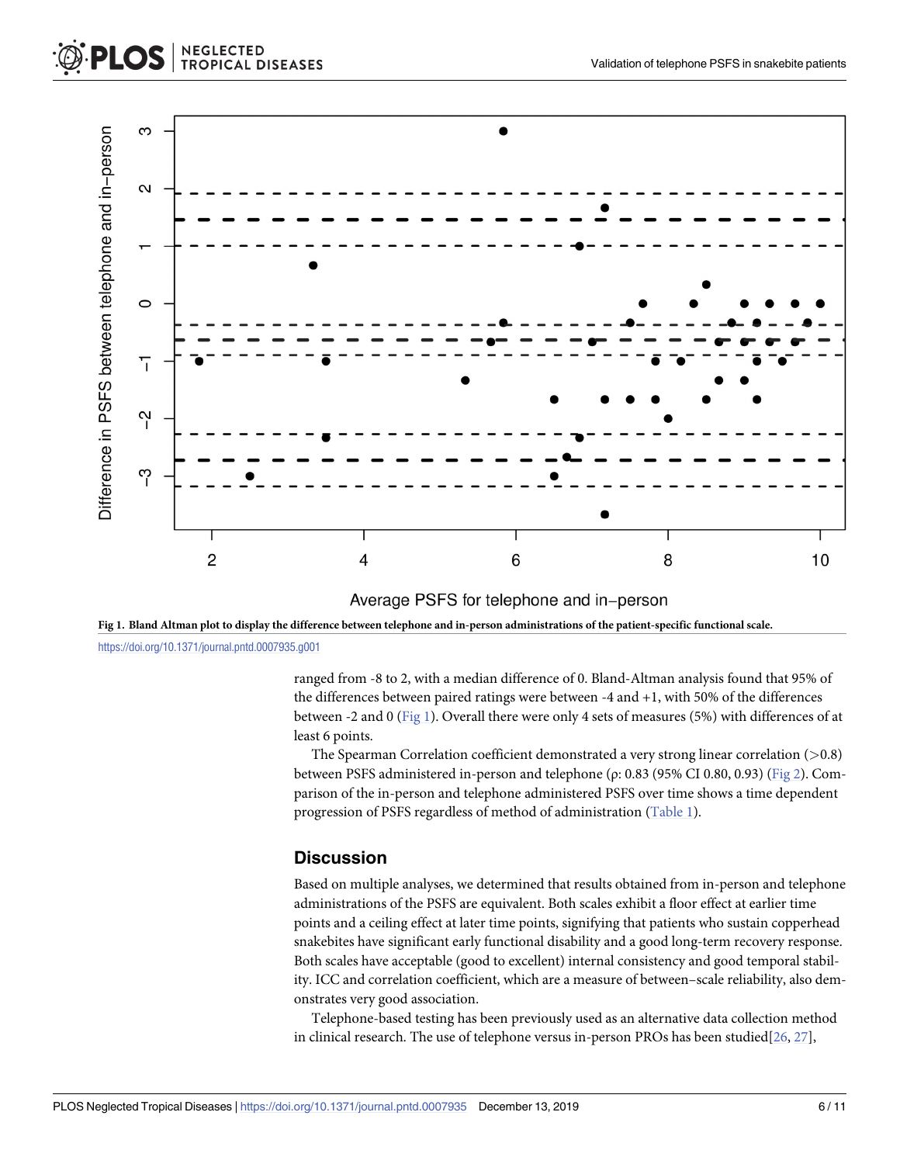<span id="page-5-0"></span>

Fig 1. Bland Altman plot to display the difference between telephone and in-person administrations of the patient-specific functional scale. <https://doi.org/10.1371/journal.pntd.0007935.g001>

> ranged from -8 to 2, with a median difference of 0. Bland-Altman analysis found that 95% of the differences between paired ratings were between -4 and +1, with 50% of the differences between -2 and 0 (Fig 1). Overall there were only 4 sets of measures (5%) with differences of at least 6 points.

> The Spearman Correlation coefficient demonstrated a very strong linear correlation (*>*0.8) between PSFS administered in-person and telephone (ρ: 0.83 (95% CI 0.80, 0.93) [\(Fig](#page-6-0) 2). Comparison of the in-person and telephone administered PSFS over time shows a time dependent progression of PSFS regardless of method of administration ([Table](#page-4-0) 1).

#### **Discussion**

Based on multiple analyses, we determined that results obtained from in-person and telephone administrations of the PSFS are equivalent. Both scales exhibit a floor effect at earlier time points and a ceiling effect at later time points, signifying that patients who sustain copperhead snakebites have significant early functional disability and a good long-term recovery response. Both scales have acceptable (good to excellent) internal consistency and good temporal stability. ICC and correlation coefficient, which are a measure of between–scale reliability, also demonstrates very good association.

Telephone-based testing has been previously used as an alternative data collection method in clinical research. The use of telephone versus in-person PROs has been studied  $[26, 27]$  $[26, 27]$  $[26, 27]$ ,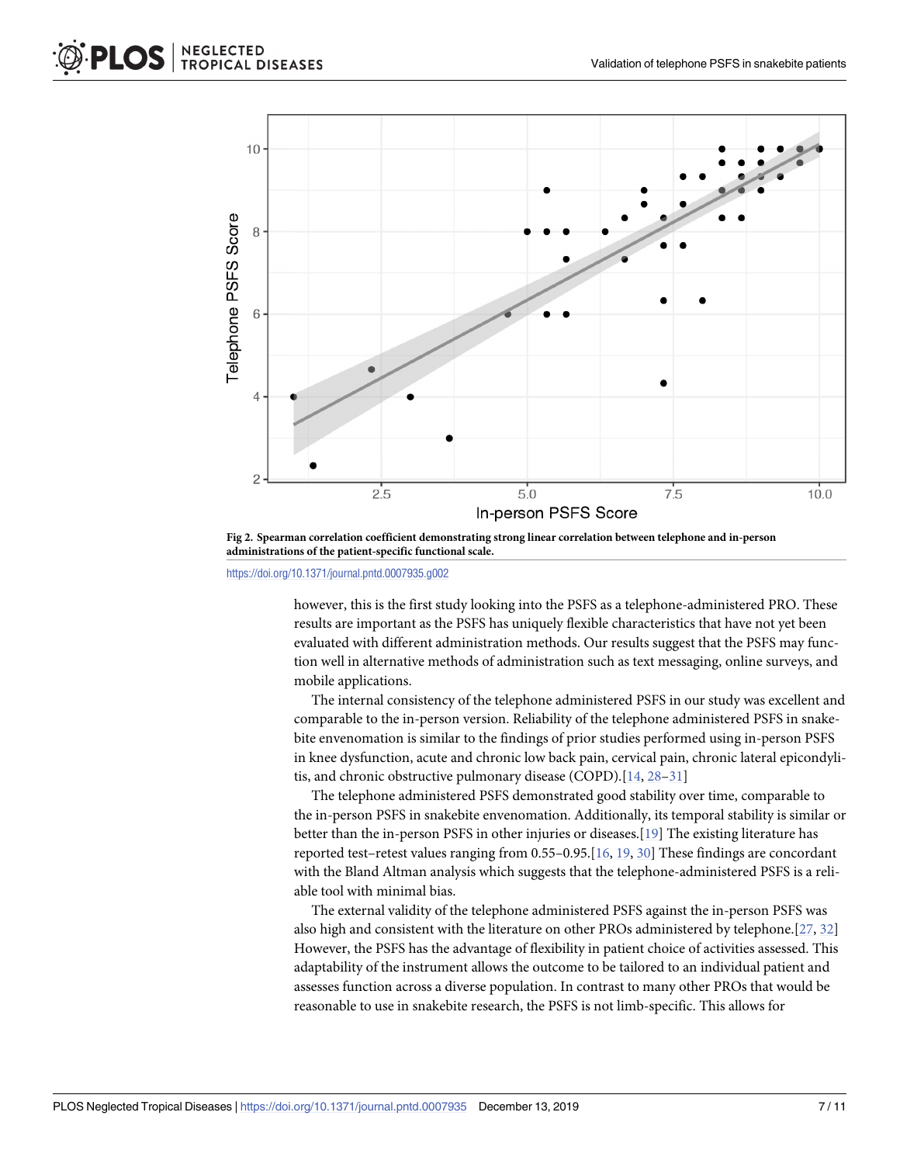<span id="page-6-0"></span>

**[Fig](#page-5-0) 2. Spearman correlation coefficient demonstrating strong linear correlation between telephone and in-person administrations of the patient-specific functional scale.**

<https://doi.org/10.1371/journal.pntd.0007935.g002>

however, this is the first study looking into the PSFS as a telephone-administered PRO. These results are important as the PSFS has uniquely flexible characteristics that have not yet been evaluated with different administration methods. Our results suggest that the PSFS may function well in alternative methods of administration such as text messaging, online surveys, and mobile applications.

The internal consistency of the telephone administered PSFS in our study was excellent and comparable to the in-person version. Reliability of the telephone administered PSFS in snakebite envenomation is similar to the findings of prior studies performed using in-person PSFS in knee dysfunction, acute and chronic low back pain, cervical pain, chronic lateral epicondylitis, and chronic obstructive pulmonary disease (COPD).[[14](#page-9-0), [28–31\]](#page-9-0)

The telephone administered PSFS demonstrated good stability over time, comparable to the in-person PSFS in snakebite envenomation. Additionally, its temporal stability is similar or better than the in-person PSFS in other injuries or diseases.[[19](#page-9-0)] The existing literature has reported test–retest values ranging from 0.55–0.95.[\[16,](#page-9-0) [19,](#page-9-0) [30\]](#page-9-0) These findings are concordant with the Bland Altman analysis which suggests that the telephone-administered PSFS is a reliable tool with minimal bias.

The external validity of the telephone administered PSFS against the in-person PSFS was also high and consistent with the literature on other PROs administered by telephone.[[27](#page-9-0), [32](#page-9-0)] However, the PSFS has the advantage of flexibility in patient choice of activities assessed. This adaptability of the instrument allows the outcome to be tailored to an individual patient and assesses function across a diverse population. In contrast to many other PROs that would be reasonable to use in snakebite research, the PSFS is not limb-specific. This allows for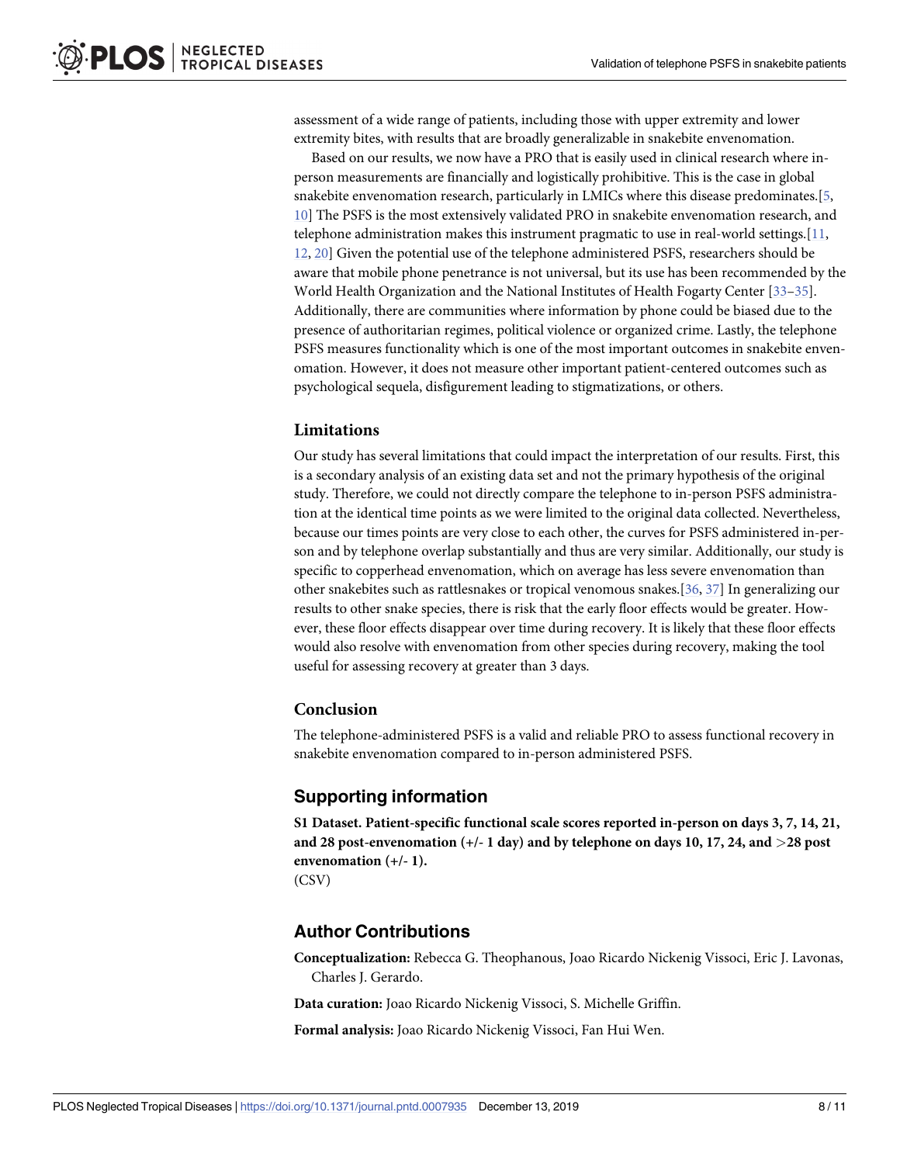<span id="page-7-0"></span>assessment of a wide range of patients, including those with upper extremity and lower extremity bites, with results that are broadly generalizable in snakebite envenomation.

Based on our results, we now have a PRO that is easily used in clinical research where inperson measurements are financially and logistically prohibitive. This is the case in global snakebite envenomation research, particularly in LMICs where this disease predominates.[\[5,](#page-8-0) [10\]](#page-8-0) The PSFS is the most extensively validated PRO in snakebite envenomation research, and telephone administration makes this instrument pragmatic to use in real-world settings.[\[11,](#page-8-0) [12,](#page-8-0) [20](#page-9-0)] Given the potential use of the telephone administered PSFS, researchers should be aware that mobile phone penetrance is not universal, but its use has been recommended by the World Health Organization and the National Institutes of Health Fogarty Center [\[33–35](#page-9-0)]. Additionally, there are communities where information by phone could be biased due to the presence of authoritarian regimes, political violence or organized crime. Lastly, the telephone PSFS measures functionality which is one of the most important outcomes in snakebite envenomation. However, it does not measure other important patient-centered outcomes such as psychological sequela, disfigurement leading to stigmatizations, or others.

#### **Limitations**

Our study has several limitations that could impact the interpretation of our results. First, this is a secondary analysis of an existing data set and not the primary hypothesis of the original study. Therefore, we could not directly compare the telephone to in-person PSFS administration at the identical time points as we were limited to the original data collected. Nevertheless, because our times points are very close to each other, the curves for PSFS administered in-person and by telephone overlap substantially and thus are very similar. Additionally, our study is specific to copperhead envenomation, which on average has less severe envenomation than other snakebites such as rattlesnakes or tropical venomous snakes.[\[36,](#page-9-0) [37\]](#page-10-0) In generalizing our results to other snake species, there is risk that the early floor effects would be greater. However, these floor effects disappear over time during recovery. It is likely that these floor effects would also resolve with envenomation from other species during recovery, making the tool useful for assessing recovery at greater than 3 days.

#### **Conclusion**

The telephone-administered PSFS is a valid and reliable PRO to assess functional recovery in snakebite envenomation compared to in-person administered PSFS.

#### **Supporting information**

**S1 [Dataset.](http://journals.plos.org/plosntds/article/asset?unique&id=info:doi/10.1371/journal.pntd.0007935.s001) Patient-specific functional scale scores reported in-person on days 3, 7, 14, 21, and 28 post-envenomation (+/- 1 day) and by telephone on days 10, 17, 24, and** *>***28 post envenomation (+/- 1).** (CSV)

#### **Author Contributions**

**Conceptualization:** Rebecca G. Theophanous, Joao Ricardo Nickenig Vissoci, Eric J. Lavonas, Charles J. Gerardo.

**Data curation:** Joao Ricardo Nickenig Vissoci, S. Michelle Griffin.

**Formal analysis:** Joao Ricardo Nickenig Vissoci, Fan Hui Wen.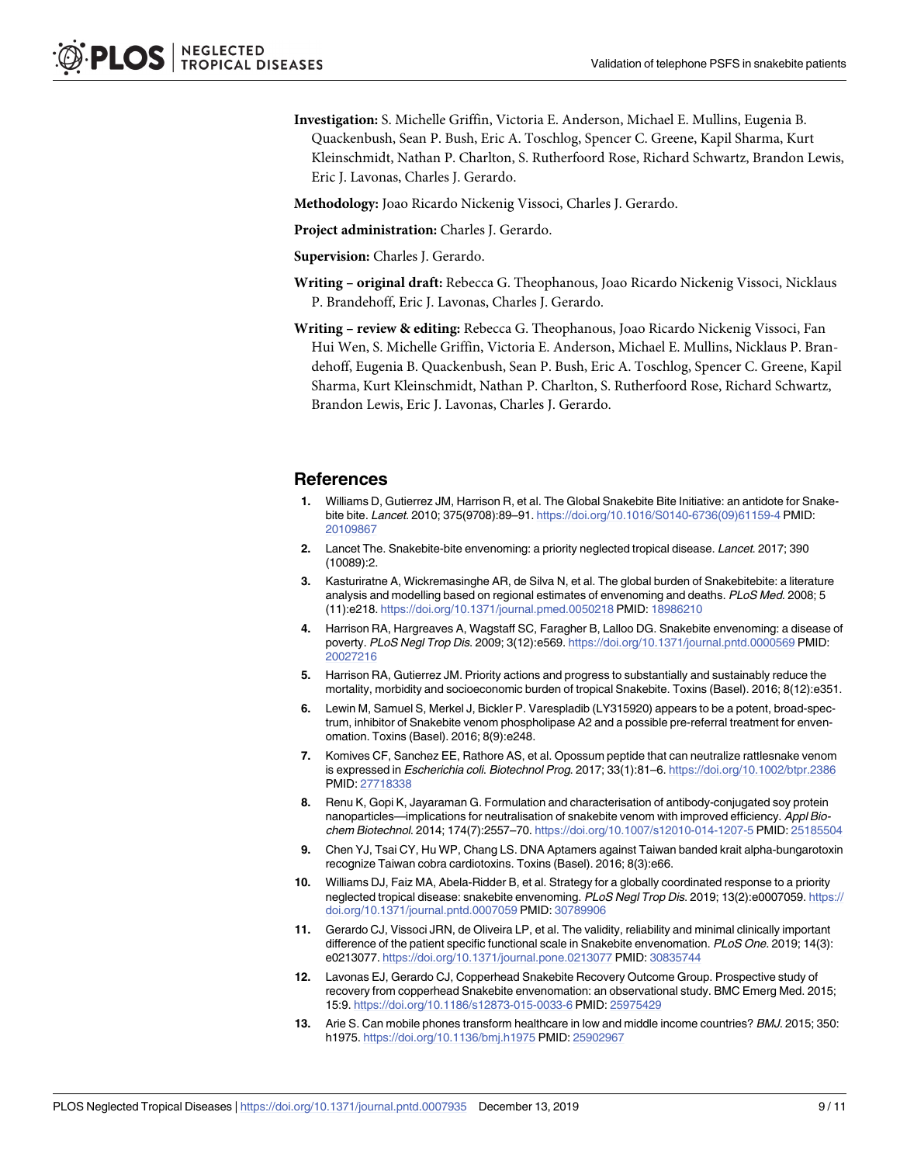- <span id="page-8-0"></span>**Investigation:** S. Michelle Griffin, Victoria E. Anderson, Michael E. Mullins, Eugenia B. Quackenbush, Sean P. Bush, Eric A. Toschlog, Spencer C. Greene, Kapil Sharma, Kurt Kleinschmidt, Nathan P. Charlton, S. Rutherfoord Rose, Richard Schwartz, Brandon Lewis, Eric J. Lavonas, Charles J. Gerardo.
- **Methodology:** Joao Ricardo Nickenig Vissoci, Charles J. Gerardo.
- **Project administration:** Charles J. Gerardo.
- **Supervision:** Charles J. Gerardo.
- **Writing – original draft:** Rebecca G. Theophanous, Joao Ricardo Nickenig Vissoci, Nicklaus P. Brandehoff, Eric J. Lavonas, Charles J. Gerardo.
- **Writing – review & editing:** Rebecca G. Theophanous, Joao Ricardo Nickenig Vissoci, Fan Hui Wen, S. Michelle Griffin, Victoria E. Anderson, Michael E. Mullins, Nicklaus P. Brandehoff, Eugenia B. Quackenbush, Sean P. Bush, Eric A. Toschlog, Spencer C. Greene, Kapil Sharma, Kurt Kleinschmidt, Nathan P. Charlton, S. Rutherfoord Rose, Richard Schwartz, Brandon Lewis, Eric J. Lavonas, Charles J. Gerardo.

#### **References**

- **[1](#page-2-0).** Williams D, Gutierrez JM, Harrison R, et al. The Global Snakebite Bite Initiative: an antidote for Snakebite bite. Lancet. 2010; 375(9708):89-91. [https://doi.org/10.1016/S0140-6736\(09\)61159-4](https://doi.org/10.1016/S0140-6736(09)61159-4) PMID: [20109867](http://www.ncbi.nlm.nih.gov/pubmed/20109867)
- **2.** Lancet The. Snakebite-bite envenoming: a priority neglected tropical disease. Lancet. 2017; 390 (10089):2.
- **3.** Kasturiratne A, Wickremasinghe AR, de Silva N, et al. The global burden of Snakebitebite: a literature analysis and modelling based on regional estimates of envenoming and deaths. PLoS Med. 2008; 5 (11):e218. <https://doi.org/10.1371/journal.pmed.0050218> PMID: [18986210](http://www.ncbi.nlm.nih.gov/pubmed/18986210)
- **4.** Harrison RA, Hargreaves A, Wagstaff SC, Faragher B, Lalloo DG. Snakebite envenoming: a disease of poverty. PLoS Negl Trop Dis. 2009; 3(12):e569. <https://doi.org/10.1371/journal.pntd.0000569> PMID: [20027216](http://www.ncbi.nlm.nih.gov/pubmed/20027216)
- **[5](#page-2-0).** Harrison RA, Gutierrez JM. Priority actions and progress to substantially and sustainably reduce the mortality, morbidity and socioeconomic burden of tropical Snakebite. Toxins (Basel). 2016; 8(12):e351.
- **[6](#page-2-0).** Lewin M, Samuel S, Merkel J, Bickler P. Varespladib (LY315920) appears to be a potent, broad-spectrum, inhibitor of Snakebite venom phospholipase A2 and a possible pre-referral treatment for envenomation. Toxins (Basel). 2016; 8(9):e248.
- **7.** Komives CF, Sanchez EE, Rathore AS, et al. Opossum peptide that can neutralize rattlesnake venom is expressed in Escherichia coli. Biotechnol Prog. 2017; 33(1):81–6. <https://doi.org/10.1002/btpr.2386> PMID: [27718338](http://www.ncbi.nlm.nih.gov/pubmed/27718338)
- **8.** Renu K, Gopi K, Jayaraman G. Formulation and characterisation of antibody-conjugated soy protein nanoparticles—implications for neutralisation of snakebite venom with improved efficiency. Appl Biochem Biotechnol. 2014; 174(7):2557–70. <https://doi.org/10.1007/s12010-014-1207-5> PMID: [25185504](http://www.ncbi.nlm.nih.gov/pubmed/25185504)
- **9.** Chen YJ, Tsai CY, Hu WP, Chang LS. DNA Aptamers against Taiwan banded krait alpha-bungarotoxin recognize Taiwan cobra cardiotoxins. Toxins (Basel). 2016; 8(3):e66.
- **[10](#page-2-0).** Williams DJ, Faiz MA, Abela-Ridder B, et al. Strategy for a globally coordinated response to a priority neglected tropical disease: snakebite envenoming. PLoS Negl Trop Dis. 2019; 13(2):e0007059. [https://](https://doi.org/10.1371/journal.pntd.0007059) [doi.org/10.1371/journal.pntd.0007059](https://doi.org/10.1371/journal.pntd.0007059) PMID: [30789906](http://www.ncbi.nlm.nih.gov/pubmed/30789906)
- **[11](#page-2-0).** Gerardo CJ, Vissoci JRN, de Oliveira LP, et al. The validity, reliability and minimal clinically important difference of the patient specific functional scale in Snakebite envenomation. PLoS One. 2019; 14(3): e0213077. <https://doi.org/10.1371/journal.pone.0213077> PMID: [30835744](http://www.ncbi.nlm.nih.gov/pubmed/30835744)
- **[12](#page-2-0).** Lavonas EJ, Gerardo CJ, Copperhead Snakebite Recovery Outcome Group. Prospective study of recovery from copperhead Snakebite envenomation: an observational study. BMC Emerg Med. 2015; 15:9. <https://doi.org/10.1186/s12873-015-0033-6> PMID: [25975429](http://www.ncbi.nlm.nih.gov/pubmed/25975429)
- **[13](#page-2-0).** Arie S. Can mobile phones transform healthcare in low and middle income countries? BMJ. 2015; 350: h1975. <https://doi.org/10.1136/bmj.h1975> PMID: [25902967](http://www.ncbi.nlm.nih.gov/pubmed/25902967)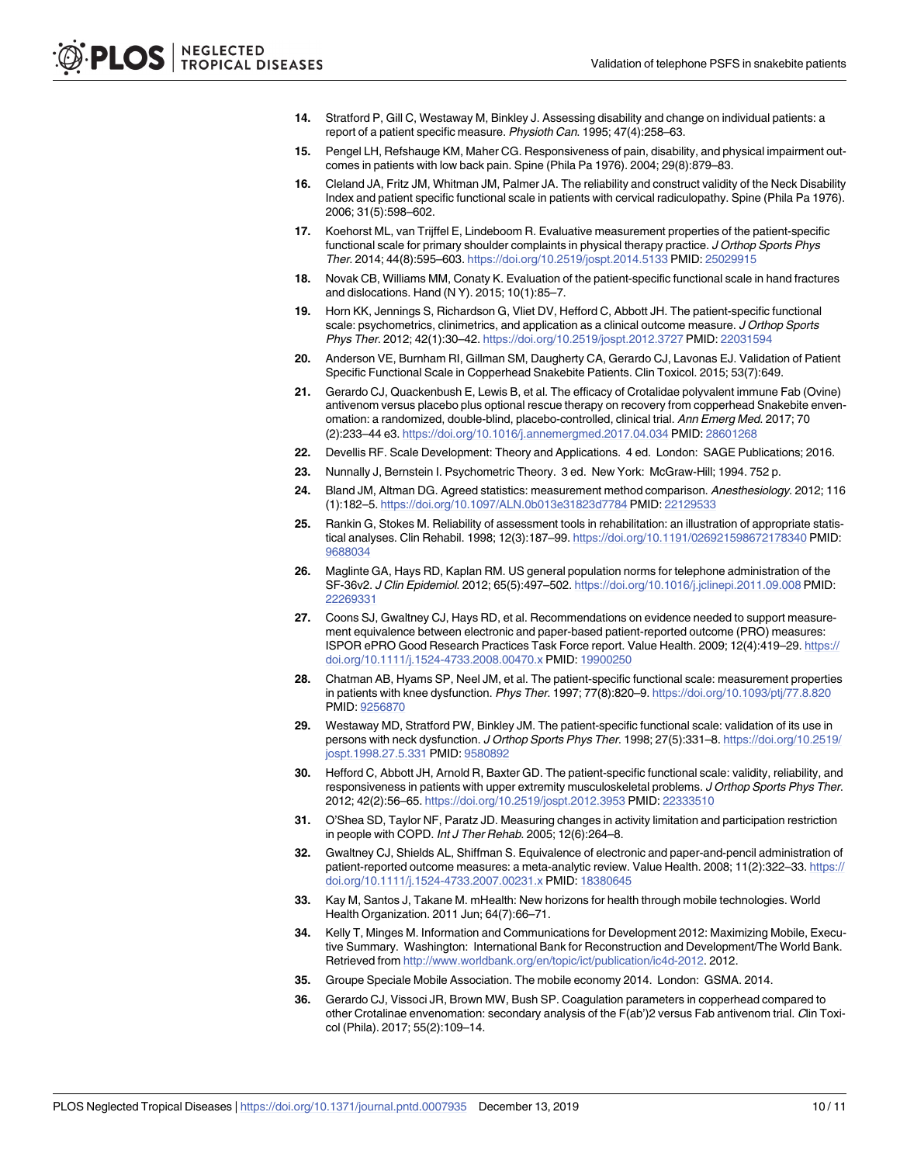- <span id="page-9-0"></span>**[14](#page-2-0).** Stratford P, Gill C, Westaway M, Binkley J. Assessing disability and change on individual patients: a report of a patient specific measure. Physioth Can. 1995; 47(4):258–63.
- **[15](#page-2-0).** Pengel LH, Refshauge KM, Maher CG. Responsiveness of pain, disability, and physical impairment outcomes in patients with low back pain. Spine (Phila Pa 1976). 2004; 29(8):879–83.
- **[16](#page-6-0).** Cleland JA, Fritz JM, Whitman JM, Palmer JA. The reliability and construct validity of the Neck Disability Index and patient specific functional scale in patients with cervical radiculopathy. Spine (Phila Pa 1976). 2006; 31(5):598–602.
- **17.** Koehorst ML, van Trijffel E, Lindeboom R. Evaluative measurement properties of the patient-specific functional scale for primary shoulder complaints in physical therapy practice. J Orthop Sports Phys Ther. 2014; 44(8):595–603. <https://doi.org/10.2519/jospt.2014.5133> PMID: [25029915](http://www.ncbi.nlm.nih.gov/pubmed/25029915)
- **18.** Novak CB, Williams MM, Conaty K. Evaluation of the patient-specific functional scale in hand fractures and dislocations. Hand (N Y). 2015; 10(1):85–7.
- **[19](#page-2-0).** Horn KK, Jennings S, Richardson G, Vliet DV, Hefford C, Abbott JH. The patient-specific functional scale: psychometrics, clinimetrics, and application as a clinical outcome measure. J Orthop Sports Phys Ther. 2012; 42(1):30–42. <https://doi.org/10.2519/jospt.2012.3727> PMID: [22031594](http://www.ncbi.nlm.nih.gov/pubmed/22031594)
- **[20](#page-2-0).** Anderson VE, Burnham RI, Gillman SM, Daugherty CA, Gerardo CJ, Lavonas EJ. Validation of Patient Specific Functional Scale in Copperhead Snakebite Patients. Clin Toxicol. 2015; 53(7):649.
- **[21](#page-2-0).** Gerardo CJ, Quackenbush E, Lewis B, et al. The efficacy of Crotalidae polyvalent immune Fab (Ovine) antivenom versus placebo plus optional rescue therapy on recovery from copperhead Snakebite envenomation: a randomized, double-blind, placebo-controlled, clinical trial. Ann Emerg Med. 2017; 70 (2):233–44 e3. <https://doi.org/10.1016/j.annemergmed.2017.04.034> PMID: [28601268](http://www.ncbi.nlm.nih.gov/pubmed/28601268)
- **[22](#page-3-0).** Devellis RF. Scale Development: Theory and Applications. 4 ed. London: SAGE Publications; 2016.
- **[23](#page-3-0).** Nunnally J, Bernstein I. Psychometric Theory. 3 ed. New York: McGraw-Hill; 1994. 752 p.
- **[24](#page-4-0).** Bland JM, Altman DG. Agreed statistics: measurement method comparison. Anesthesiology. 2012; 116 (1):182–5. <https://doi.org/10.1097/ALN.0b013e31823d7784> PMID: [22129533](http://www.ncbi.nlm.nih.gov/pubmed/22129533)
- **[25](#page-4-0).** Rankin G, Stokes M. Reliability of assessment tools in rehabilitation: an illustration of appropriate statistical analyses. Clin Rehabil. 1998; 12(3):187–99. <https://doi.org/10.1191/026921598672178340> PMID: [9688034](http://www.ncbi.nlm.nih.gov/pubmed/9688034)
- **[26](#page-5-0).** Maglinte GA, Hays RD, Kaplan RM. US general population norms for telephone administration of the SF-36v2. J Clin Epidemiol. 2012; 65(5):497–502. <https://doi.org/10.1016/j.jclinepi.2011.09.008> PMID: [22269331](http://www.ncbi.nlm.nih.gov/pubmed/22269331)
- **[27](#page-5-0).** Coons SJ, Gwaltney CJ, Hays RD, et al. Recommendations on evidence needed to support measurement equivalence between electronic and paper-based patient-reported outcome (PRO) measures: ISPOR ePRO Good Research Practices Task Force report. Value Health. 2009; 12(4):419–29. [https://](https://doi.org/10.1111/j.1524-4733.2008.00470.x) [doi.org/10.1111/j.1524-4733.2008.00470.x](https://doi.org/10.1111/j.1524-4733.2008.00470.x) PMID: [19900250](http://www.ncbi.nlm.nih.gov/pubmed/19900250)
- **[28](#page-6-0).** Chatman AB, Hyams SP, Neel JM, et al. The patient-specific functional scale: measurement properties in patients with knee dysfunction. Phys Ther. 1997; 77(8):820–9. <https://doi.org/10.1093/ptj/77.8.820> PMID: [9256870](http://www.ncbi.nlm.nih.gov/pubmed/9256870)
- **29.** Westaway MD, Stratford PW, Binkley JM. The patient-specific functional scale: validation of its use in persons with neck dysfunction. J Orthop Sports Phys Ther. 1998; 27(5):331–8. [https://doi.org/10.2519/](https://doi.org/10.2519/jospt.1998.27.5.331) [jospt.1998.27.5.331](https://doi.org/10.2519/jospt.1998.27.5.331) PMID: [9580892](http://www.ncbi.nlm.nih.gov/pubmed/9580892)
- **[30](#page-6-0).** Hefford C, Abbott JH, Arnold R, Baxter GD. The patient-specific functional scale: validity, reliability, and responsiveness in patients with upper extremity musculoskeletal problems. J Orthop Sports Phys Ther. 2012; 42(2):56–65. <https://doi.org/10.2519/jospt.2012.3953> PMID: [22333510](http://www.ncbi.nlm.nih.gov/pubmed/22333510)
- **[31](#page-6-0).** O'Shea SD, Taylor NF, Paratz JD. Measuring changes in activity limitation and participation restriction in people with COPD. Int J Ther Rehab. 2005; 12(6):264–8.
- **[32](#page-6-0).** Gwaltney CJ, Shields AL, Shiffman S. Equivalence of electronic and paper-and-pencil administration of patient-reported outcome measures: a meta-analytic review. Value Health. 2008; 11(2):322–33. [https://](https://doi.org/10.1111/j.1524-4733.2007.00231.x) [doi.org/10.1111/j.1524-4733.2007.00231.x](https://doi.org/10.1111/j.1524-4733.2007.00231.x) PMID: [18380645](http://www.ncbi.nlm.nih.gov/pubmed/18380645)
- **[33](#page-7-0).** Kay M, Santos J, Takane M. mHealth: New horizons for health through mobile technologies. World Health Organization. 2011 Jun; 64(7):66–71.
- **34.** Kelly T, Minges M. Information and Communications for Development 2012: Maximizing Mobile, Executive Summary. Washington: International Bank for Reconstruction and Development/The World Bank. Retrieved from [http://www.worldbank.org/en/topic/ict/publication/ic4d-2012.](http://www.worldbank.org/en/topic/ict/publication/ic4d-2012) 2012.
- **[35](#page-7-0).** Groupe Speciale Mobile Association. The mobile economy 2014. London: GSMA. 2014.
- **[36](#page-7-0).** Gerardo CJ, Vissoci JR, Brown MW, Bush SP. Coagulation parameters in copperhead compared to other Crotalinae envenomation: secondary analysis of the F(ab')2 versus Fab antivenom trial. Clin Toxicol (Phila). 2017; 55(2):109–14.